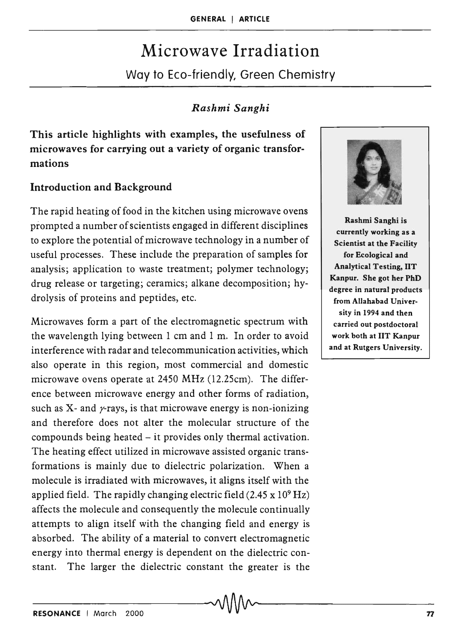# Microwave Irradiation

Way to Eco-friendly, Green Chemistry

# *Rashmi Sanghi*

This article highlights with examples, the usefulness of microwaves for carrying out a variety of organic transformations

# Introduction and Background

The rapid heating of food in the kitchen using microwave ovens prompted a number of scientists engaged in different disciplines to explore the potential of microwave technology in a number of useful processes. These include the preparation of samples for analysis; application to waste treatment; polymer technology; drug release or targeting; ceramics; alkane decomposition; hydrolysis of proteins and peptides, etc.

Microwaves form a part of the electromagnetic spectrum with the wavelength lying between 1 cm and 1 m. In order to avoid interference with radar and telecommunication activities, which also operate in this region, most commercial and domestic microwave ovens operate at 2450 MHz (12.25cm). The difference between microwave energy and other forms of radiation, such as X- and  $\gamma$ -rays, is that microwave energy is non-ionizing and therefore does not alter the molecular structure of the compounds being heated - it provides only thermal activation. The heating effect utilized in microwave assisted organic transformations is mainly due to dielectric polarization. When a molecule is irradiated with microwaves, it aligns itself with the applied field. The rapidly changing electric field  $(2.45 \times 10^9 \text{ Hz})$ affects the molecule and consequently the molecule continually attempts to align itself with the changing field and energy is absorbed. The ability of a material to convert electromagnetic energy into thermal energy is dependent on the dielectric constant. The larger the dielectric constant the greater is the



Rashmi Sanghi is currently working as a Scientist at the Facility for Ecological and Analytical Testing, lIT Kanpur. She got her PhD degree in natural products from Allahabad University in 1994 and then carried out postdoctoral work both at lIT Kanpur and at Rutgers University.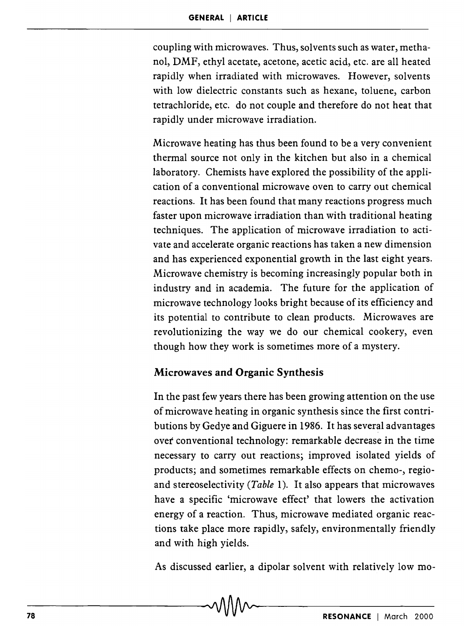coupling with microwaves. Thus, solvents such as water, methanol, DMF, ethyl acetate, acetone, acetic acid, etc. are all heated rapidly when irradiated with microwaves. However, solvents with low dielectric constants such as hexane, toluene, carbon tetrachloride, etc. do not couple and therefore do not heat that rapidly under microwave irradiation.

Microwave heating has thus been found to be a very convenient thermal source not only in the kitchen but also in a chemical laboratory. Chemists have explored the possibility of the application of a conventional microwave oven to carry out chemical reactions. It has been found that many reactions progress much faster upon microwave irradiation than with traditional heating techniques. The application of microwave irradiation to activate and accelerate organic reactions has taken a new dimension and has experienced exponential growth in the last eight years. Microwave chemistry is becoming increasingly popular both in industry and in academia. The future for the application of microwave technology looks bright because of its efficiency and its potential to contribute to clean products. Microwaves are revolutionizing the way we do our chemical cookery, even though how they work is sometimes more of a mystery.

### Microwaves and Organic Synthesis

In the past few years there has been growing attention on the use of microwave heating in organic synthesis since the first contributions by Gedye and Giguere in 1986. It has several advantages *ovet* conventional technology: remarkable decrease in the time necessary to carry out reactions; improved isolated yields of products; and sometimes remarkable effects on chemo-, regioand stereoselectivity *(Table* 1). It also appears that microwaves have a specific 'microwave effect' that lowers the activation energy of a reaction. Thus, microwave mediated organie reactions take place more rapidly, safely, environmentally friendly and with high yields.

As discussed earlier, a dipolar solvent with relatively low mo-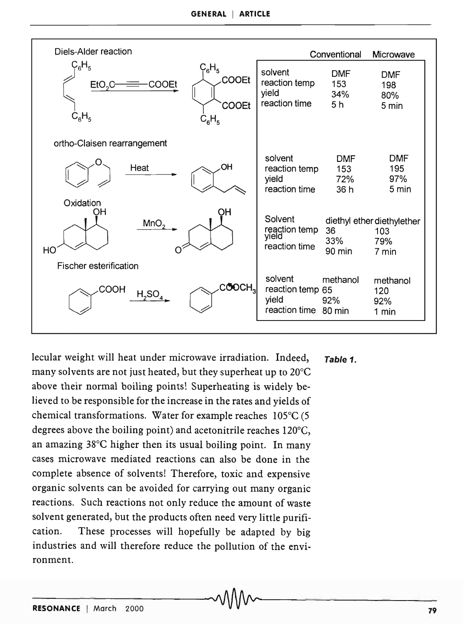| Diels-Alder reaction                                                                                          |                                                              | Conventional                               | Microwave                                         |
|---------------------------------------------------------------------------------------------------------------|--------------------------------------------------------------|--------------------------------------------|---------------------------------------------------|
| $\mathsf{C_6H_5}$<br>$C_6H_5$<br>COOEt<br>COOEt<br>EtO <sub>2</sub> C<br><b>COOEt</b><br>$C_6H_5$<br>$C_6H_5$ | solvent<br>reaction temp<br>yield<br>reaction time           | <b>DMF</b><br>153<br>34%<br>5 <sub>h</sub> | <b>DMF</b><br>198<br>80%<br>5 min                 |
| ortho-Claisen rearrangement                                                                                   |                                                              |                                            |                                                   |
| OH<br>Heat                                                                                                    | solvent<br>reaction temp<br>yield<br>reaction time           | <b>DMF</b><br>153<br>72%<br>36 h           | <b>DMF</b><br>195<br>97%<br>5 min                 |
| Oxidation<br>OН<br>ΟН<br>MnO <sub>2</sub><br>HO                                                               | Solvent<br>reaction temp<br>yield<br>reaction time           | 36<br>33%<br>$90 \text{ min}$              | diethyl ether diethylether<br>103<br>79%<br>7 min |
| Fischer esterification<br><b>COOCH3</b><br>COOH<br>$H_2SO_4$                                                  | solvent<br>reaction temp 65<br>yield<br>reaction time 80 min | methanol<br>92%                            | methanol<br>120<br>92%<br>1 min                   |

lecular weight will heat under microwave irradiation. Indeed, Table 1. many solvents are not just heated, but they superheat up to 20°C  $^\circ$ above their normal boiling points! Superheating is widely believed to be responsible for the increase in the rates and yields of chemical transformations. Water for example reaches 105°C (5 degrees above the boiling point) and acetonitrile reaches 120°C, an amazing 38°C higher then its usual boiling point. In many cases microwave mediated reactions can also be done in the complete absence of solvents! Therefore, toxic and expensive organic solvents can be avoided for carrying out many organic reactions. Such reactions not only reduce the amount of waste solvent generated, but the products often need very little purification. These processes will hopefully be adapted by big industries and will therefore reduce the pollution of the environment.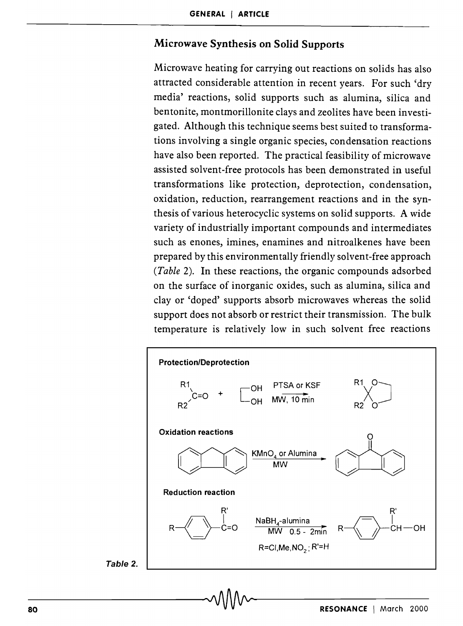### Microwave Synthesis on Solid Supports

Microwave heating for carrying out reactions on solids has also attracted considerable attention in recent years. For such 'dry media' reactions, solid supports such as alumina, silica and bentonite, montmorillonite clays and zeolites have been investigated. Although this technique seems best suited to transformations involving a single organic species, condensation reactions have also been reported. The practical feasibility of microwave assisted solvent-free protocols has been demonstrated in useful transformations like protection, deprotection, condensation, oxidation, reduction, rearrangement reactions and in the synthesis of various heterocyclic systems on solid supports. A wide variety of industrially important compounds and intermediates such as enones, imines, enamines and nitroalkenes have been prepared by this environmentally friendly solvent-free approach *(Table* 2). In these reactions, the organic compounds adsorbed on the surface of inorganic oxides, such as alumina, silica and clay or 'doped' supports absorb microwaves whereas the solid support does not absorb or restrict their transmission. The bulk temperature is relatively low in such solvent free reactions